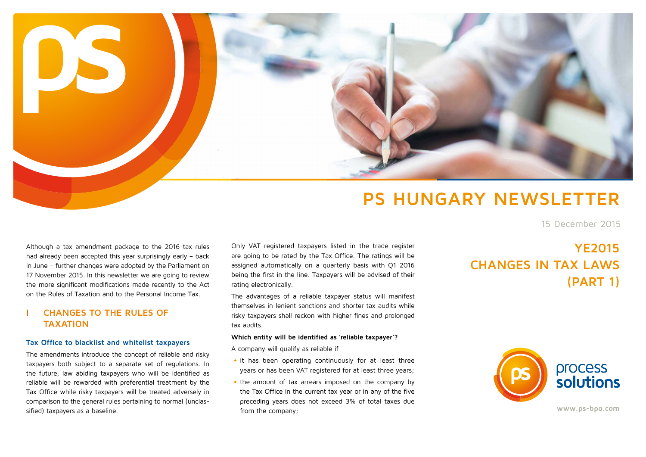

# **PS HUNGARY NEWSLETTER**

15 December 2015

Although a tax amendment package to the 2016 tax rules had already been accepted this year surprisingly early – back in June – further changes were adopted by the Parliament on 17 November 2015. In this newsletter we are going to review the more significant modifications made recently to the Act on the Rules of Taxation and to the Personal Income Tax.

## **I CHANGES TO THE RULES OF TAXATION**

#### **Tax Office to blacklist and whitelist taxpayers**

The amendments introduce the concept of reliable and risky taxpayers both subject to a separate set of regulations. In the future, law abiding taxpayers who will be identified as reliable will be rewarded with preferential treatment by the Tax Office while risky taxpayers will be treated adversely in comparison to the general rules pertaining to normal (unclassified) taxpayers as a baseline.

Only VAT registered taxpayers listed in the trade register are going to be rated by the Tax Office. The ratings will be assigned automatically on a quarterly basis with Q1 2016 being the first in the line. Taxpayers will be advised of their rating electronically.

The advantages of a reliable taxpayer status will manifest themselves in lenient sanctions and shorter tax audits while risky taxpayers shall reckon with higher fines and prolonged tax audits.

#### **Which entity will be identified as 'reliable taxpayer'?**

A company will qualify as reliable if

- it has been operating continuously for at least three years or has been VAT registered for at least three years;
- the amount of tax arrears imposed on the company by the Tax Office in the current tax year or in any of the five preceding years does not exceed 3% of total taxes due from the company;

## **YE2015 CHANGES IN TAX LAWS (PART 1)**



**www.ps-bpo.com**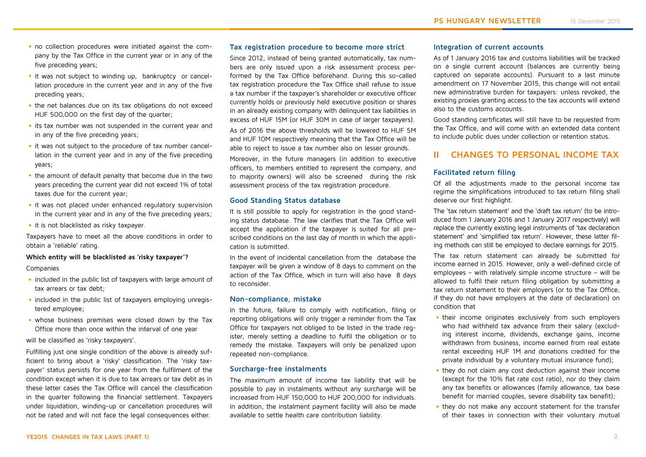- no collection procedures were initiated against the company by the Tax Office in the current year or in any of the five preceding years;
- it was not subject to winding up, bankruptcy or cancellation procedure in the current year and in any of the five preceding years;
- the net balances due on its tax obligations do not exceed HUF 500,000 on the first day of the quarter:
- its tax number was not suspended in the current year and in any of the five preceding years;
- it was not subject to the procedure of tax number cancellation in the current year and in any of the five preceding years;
- the amount of default penalty that become due in the two years preceding the current year did not exceed 1% of total taxes due for the current year;
- it was not placed under enhanced regulatory supervision in the current year and in any of the five preceding years;
- it is not blacklisted as risky taxpayer.

Taxpayers have to meet all the above conditions in order to obtain a 'reliable' rating.

#### **Which entity will be blacklisted as 'risky taxpayer'?**

Companies

- included in the public list of taxpayers with large amount of tax arrears or tax debt;
- included in the public list of taxpayers employing unregistered employee;
- whose business premises were closed down by the Tax Office more than once within the interval of one year

will be classified as 'risky taxpayers'.

Fulfilling just one single condition of the above is already sufficient to bring about a 'risky' classification. The 'risky taxpayer' status persists for one year from the fulfilment of the condition except when it is due to tax arrears or tax debt as in these latter cases the Tax Office will cancel the classification in the quarter following the financial settlement. Taxpayers under liquidation, winding-up or cancellation procedures will not be rated and will not face the legal consequences either.

#### **Tax registration procedure to become more strict**

Since 2012, instead of being granted automatically, tax numbers are only issued upon a risk assessment process performed by the Tax Office beforehand. During this so-called tax registration procedure the Tax Office shall refuse to issue a tax number if the taxpayer's shareholder or executive officer currently holds or previously held executive position or shares in an already existing company with delinquent tax liabilities in excess of HUF 15M (or HUF 30M in case of larger taxpayers).

As of 2016 the above thresholds will be lowered to HUF 5M and HUF 10M respectively meaning that the Tax Office will be able to reject to issue a tax number also on lesser grounds.

Moreover, in the future managers (in addition to executive officers, to members entitled to represent the company, and to majority owners) will also be screened during the risk assessment process of the tax registration procedure.

#### **Good Standing Status database**

It is still possible to apply for registration in the good standing status database. The law clarifies that the Tax Office will accept the application if the taxpayer is suited for all prescribed conditions on the last day of month in which the application is submitted.

In the event of incidental cancellation from the database the taxpayer will be given a window of 8 days to comment on the action of the Tax Office, which in turn will also have 8 days to reconsider.

#### **Non-compliance, mistake**

In the future, failure to comply with notification, filing or reporting obligations will only trigger a reminder from the Tax Office for taxpayers not obliged to be listed in the trade register, merely setting a deadline to fulfil the obligation or to remedy the mistake. Taxpayers will only be penalized upon repeated non-compliance.

#### **Surcharge-free instalments**

The maximum amount of income tax liability that will be possible to pay in instalments without any surcharge will be increased from HUF 150,000 to HUF 200,000 for individuals. In addition, the instalment payment facility will also be made available to settle health care contribution liability.

#### **Integration of current accounts**

As of 1 January 2016 tax and customs liabilities will be tracked on a single current account (balances are currently being captured on separate accounts). Pursuant to a last minute amendment on 17 November 2015, this change will not entail new administrative burden for taxpayers: unless revoked, the existing proxies granting access to the tax accounts will extend also to the customs accounts.

Good standing certificates will still have to be requested from the Tax Office, and will come with an extended data content to include public dues under collection or retention status.

### **II CHANGES TO PERSONAL INCOME TAX**

#### **Facilitated return filing**

Of all the adjustments made to the personal income tax regime the simplifications introduced to tax return filing shall deserve our first highlight.

The 'tax return statement' and the 'draft tax return' (to be introduced from 1 January 2016 and 1 January 2017 respectively) will replace the currently existing legal instruments of 'tax declaration statement' and 'simplified tax return'. However, these latter filing methods can still be employed to declare earnings for 2015.

The tax return statement can already be submitted for income earned in 2015. However, only a well-defined circle of employees – with relatively simple income structure – will be allowed to fulfil their return filing obligation by submitting a tax return statement to their employers (or to the Tax Office, if they do not have employers at the date of declaration) on condition that

- their income originates exclusively from such employers who had withheld tax advance from their salary (excluding interest income, dividends, exchange gains, income withdrawn from business, income earned from real estate rental exceeding HUF 1M and donations credited for the private individual by a voluntary mutual insurance fund);
- they do not claim any cost deduction against their income (except for the 10% flat rate cost ratio), nor do they claim any tax benefits or allowances (family allowance, tax base benefit for married couples, severe disability tax benefit);
- they do not make any account statement for the transfer of their taxes in connection with their voluntary mutual